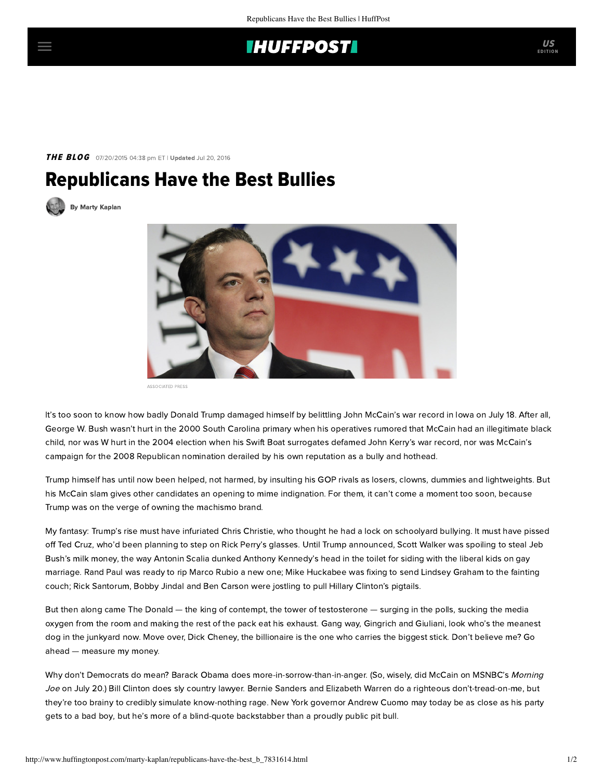## **IHUFFPOSTI**

### THE BLOG 07/20/2015 04:38 pm ET | Updated Jul 20, 2016

# Republicans Have the Best Bullies





ASSOCIATED PRESS

It's too soon to know how badly Donald Trump damaged himself by belittling John McCain's war record in Iowa on July 18. After all, George W. Bush wasn't hurt in the 2000 South Carolina primary when his operatives rumored that McCain had an illegitimate black child, nor was W hurt in the 2004 election when his Swift Boat surrogates defamed John Kerry's war record, nor was McCain's campaign for the 2008 Republican nomination derailed by his own reputation as a bully and hothead.

Trump himself has until now been helped, not harmed, by insulting his GOP rivals as [losers, clowns, dummies and lightweights.](http://time.com/3951697/donald-trump-republicans/) But his McCain slam gives other candidates an opening to mime indignation. For them, it can't come a moment too soon, because Trump was on the verge of owning the machismo brand.

My fantasy: Trump's rise must have infuriated Chris Christie, who thought he had a lock on schoolyard bullying. It must have pissed off Ted Cruz, who'd been planning to step on Rick Perry's glasses. Until Trump announced, Scott Walker was spoiling to steal Jeb Bush's milk money, the way Antonin Scalia dunked Anthony Kennedy's head in the toilet for siding with the liberal kids on gay marriage. Rand Paul was ready to rip Marco Rubio a new one; Mike Huckabee was fixing to send Lindsey Graham to the fainting couch; Rick Santorum, Bobby Jindal and Ben Carson were jostling to pull Hillary Clinton's pigtails.

But then along came The Donald — the king of contempt, the tower of testosterone — surging in the polls, sucking the media oxygen from the room and making the rest of the pack eat his exhaust. Gang way, Gingrich and Giuliani, look who's the meanest dog in the junkyard now. Move over, Dick Cheney, the billionaire is the one who carries the biggest stick. Don't believe me? Go ahead — measure my money.

Why don't Democrats do mean? Barack Obama does more-in-sorrow-than-in-anger. (So, wisely, did McCain on MSNBC's Morning Joe on July 20.) Bill Clinton does sly country lawyer. Bernie Sanders and Elizabeth Warren do a righteous don't-tread-on-me, but they're too brainy to credibly simulate know-nothing rage. New York governor Andrew Cuomo may today be as close as his party gets to a [bad boy](http://www.nytimes.com/2015/07/11/nyregion/governor-cuomo-on-defensive-as-fellow-democrats-assail-bullying-tactics.html?_r=0), but he's more of a blind-quote backstabber than a proudly public pit bull.